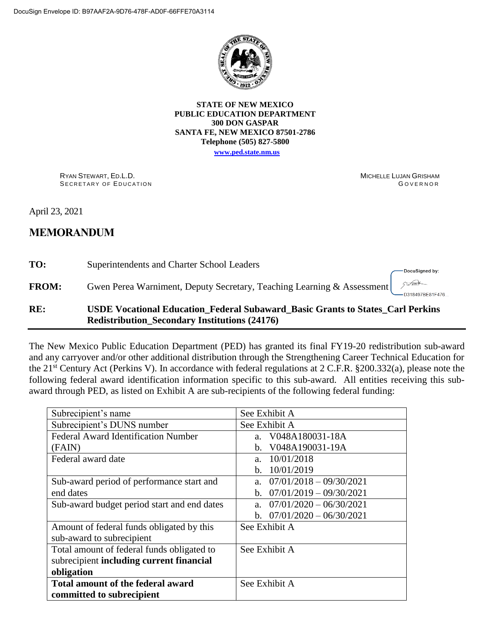

**STATE OF NEW MEXICO PUBLIC EDUCATION DEPARTMENT 300 DON GASPAR SANTA FE, NEW MEXICO 87501-2786 Telephone (505) 827-5800**

**[www.ped.state.nm.us](http://webnew.ped.state.nm.us/)**

RYAN STEWART, ED.L.D. SECRETARY OF EDUCATION MICHELLE LUJAN GRISHAM **GOVERNOR** 

April 23, 2021

# **MEMORANDUM**

**TO:** Superintendents and Charter School Leaders DocuSigned by:  $512$ **FROM:** Gwen Perea Warniment, Deputy Secretary, Teaching Learning & Assessment D318497BE81F476... **RE: USDE Vocational Education\_Federal Subaward\_Basic Grants to States\_Carl Perkins Redistribution\_Secondary Institutions (24176)**

The New Mexico Public Education Department (PED) has granted its final FY19-20 redistribution sub-award and any carryover and/or other additional distribution through the Strengthening Career Technical Education for the 21<sup>st</sup> Century Act (Perkins V). In accordance with federal regulations at 2 C.F.R. §200.332(a), please note the following federal award identification information specific to this sub-award. All entities receiving this subaward through PED, as listed on Exhibit A are sub-recipients of the following federal funding:

| Subrecipient's name                         | See Exhibit A                               |  |  |
|---------------------------------------------|---------------------------------------------|--|--|
| Subrecipient's DUNS number                  | See Exhibit A                               |  |  |
| <b>Federal Award Identification Number</b>  | V048A180031-18A<br>$a_{-}$                  |  |  |
| (FAIN)                                      | V048A190031-19A<br>$\mathbf{b}$ .           |  |  |
| Federal award date                          | 10/01/2018<br>a.                            |  |  |
|                                             | 10/01/2019<br>h.                            |  |  |
| Sub-award period of performance start and   | $07/01/2018 - 09/30/2021$<br>a.             |  |  |
| end dates                                   | $07/01/2019 - 09/30/2021$<br>b.             |  |  |
| Sub-award budget period start and end dates | a. $07/01/2020 - 06/30/2021$                |  |  |
|                                             | $07/01/2020 - 06/30/2021$<br>$\mathbf{b}$ . |  |  |
| Amount of federal funds obligated by this   | See Exhibit A                               |  |  |
| sub-award to subrecipient                   |                                             |  |  |
| Total amount of federal funds obligated to  | See Exhibit A                               |  |  |
| subrecipient including current financial    |                                             |  |  |
| obligation                                  |                                             |  |  |
| Total amount of the federal award           | See Exhibit A                               |  |  |
| committed to subrecipient                   |                                             |  |  |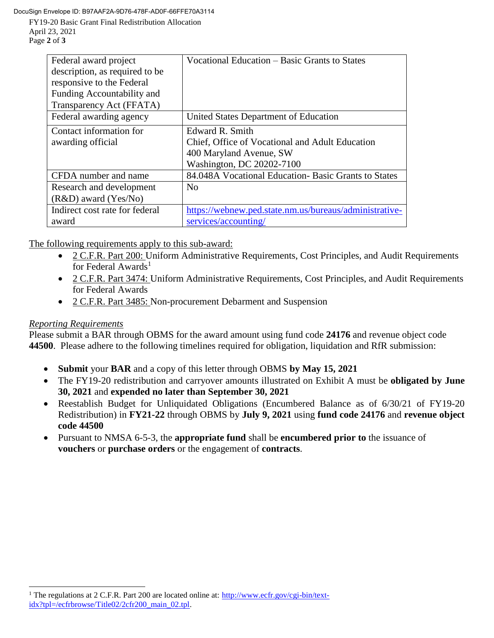DocuSign Envelope ID: B97AAF2A-9D76-478F-AD0F-66FFE70A3114

FY19-20 Basic Grant Final Redistribution Allocation April 23, 2021 Page **2** of **3**

| Federal award project          | Vocational Education – Basic Grants to States          |
|--------------------------------|--------------------------------------------------------|
| description, as required to be |                                                        |
| responsive to the Federal      |                                                        |
| Funding Accountability and     |                                                        |
| Transparency Act (FFATA)       |                                                        |
| Federal awarding agency        | United States Department of Education                  |
| Contact information for        | Edward R. Smith                                        |
| awarding official              | Chief, Office of Vocational and Adult Education        |
|                                | 400 Maryland Avenue, SW                                |
|                                | Washington, DC 20202-7100                              |
| CFDA number and name           | 84.048A Vocational Education-Basic Grants to States    |
| Research and development       | N <sub>0</sub>                                         |
| $(R&D)$ award $(Yes/No)$       |                                                        |
| Indirect cost rate for federal | https://webnew.ped.state.nm.us/bureaus/administrative- |
| award                          | services/accounting/                                   |

The following requirements apply to this sub-award:

- 2 C.F.R. Part 200: Uniform Administrative Requirements, Cost Principles, and Audit Requirements for Federal Awards<sup>1</sup>
- 2 C.F.R. Part 3474: Uniform Administrative Requirements, Cost Principles, and Audit Requirements for Federal Awards
- 2 C.F.R. Part 3485: Non-procurement Debarment and Suspension

## *Reporting Requirements*

 $\overline{a}$ 

Please submit a BAR through OBMS for the award amount using fund code **24176** and revenue object code **44500**. Please adhere to the following timelines required for obligation, liquidation and RfR submission:

- **Submit** your **BAR** and a copy of this letter through OBMS **by May 15, 2021**
- The FY19-20 redistribution and carryover amounts illustrated on Exhibit A must be **obligated by June 30, 2021** and **expended no later than September 30, 2021**
- Reestablish Budget for Unliquidated Obligations (Encumbered Balance as of  $6/30/21$  of FY19-20 Redistribution) in **FY21-22** through OBMS by **July 9, 2021** using **fund code 24176** and **revenue object code 44500**
- Pursuant to NMSA 6-5-3, the **appropriate fund** shall be **encumbered prior to** the issuance of **vouchers** or **purchase orders** or the engagement of **contracts**.

<sup>&</sup>lt;sup>1</sup> The regulations at 2 C.F.R. Part 200 are located online at: [http://www.ecfr.gov/cgi-bin/text](http://www.ecfr.gov/cgi-bin/text-idx?tpl=/ecfrbrowse/Title02/2cfr200_main_02.tpl)[idx?tpl=/ecfrbrowse/Title02/2cfr200\\_main\\_02.tpl.](http://www.ecfr.gov/cgi-bin/text-idx?tpl=/ecfrbrowse/Title02/2cfr200_main_02.tpl)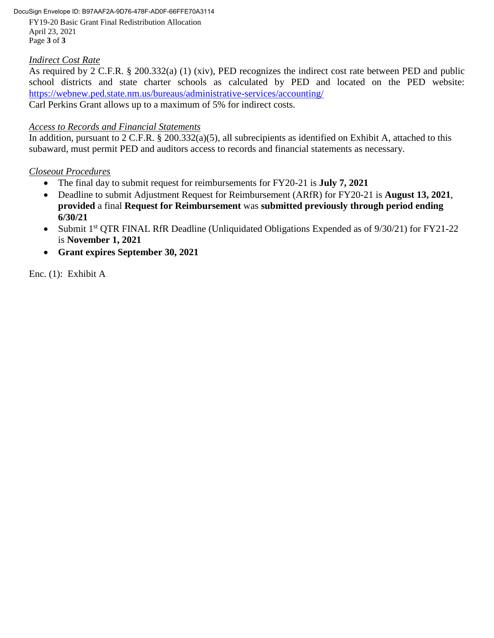#### DocuSign Envelope ID: B97AAF2A-9D76-478F-AD0F-66FFE70A3114

FY19-20 Basic Grant Final Redistribution Allocation April 23, 2021 Page **3** of **3**

### *Indirect Cost Rate*

As required by 2 C.F.R. § 200.332(a) (1) (xiv), PED recognizes the indirect cost rate between PED and public school districts and state charter schools as calculated by PED and located on the PED website: <https://webnew.ped.state.nm.us/bureaus/administrative-services/accounting/> Carl Perkins Grant allows up to a maximum of 5% for indirect costs.

#### *Access to Records and Financial Statements*

In addition, pursuant to 2 C.F.R. § 200.332(a)(5), all subrecipients as identified on Exhibit A, attached to this subaward, must permit PED and auditors access to records and financial statements as necessary.

### *Closeout Procedures*

- The final day to submit request for reimbursements for FY20-21 is **July 7, 2021**
- Deadline to submit Adjustment Request for Reimbursement (ARfR) for FY20-21 is **August 13, 2021**, **provided** a final **Request for Reimbursement** was **submitted previously through period ending 6/30/21**
- Submit 1<sup>st</sup> QTR FINAL RfR Deadline (Unliquidated Obligations Expended as of 9/30/21) for FY21-22 is **November 1, 2021**
- **Grant expires September 30, 2021**

Enc. (1): Exhibit A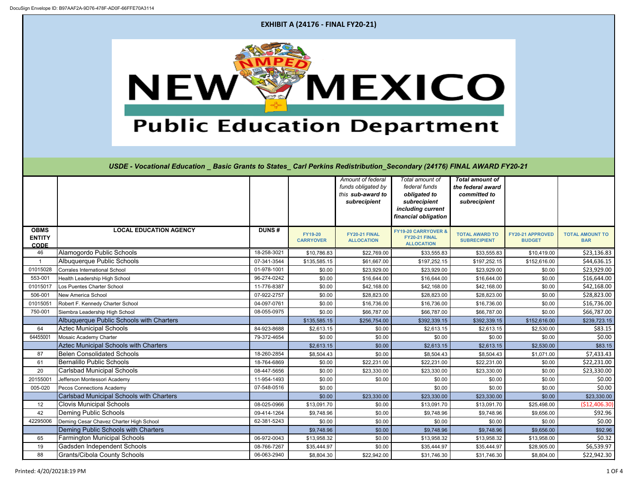|                                                                                                                                                                                |                                                                           |                            | <b>EXHIBIT A (24176 - FINAL FY20-21)</b> |                                                                              |                                                                                                               |                                                                             |                                          |                                      |
|--------------------------------------------------------------------------------------------------------------------------------------------------------------------------------|---------------------------------------------------------------------------|----------------------------|------------------------------------------|------------------------------------------------------------------------------|---------------------------------------------------------------------------------------------------------------|-----------------------------------------------------------------------------|------------------------------------------|--------------------------------------|
| NEW<br>TMEXICO<br><b>Public Education Department</b><br>USDE - Vocational Education _ Basic Grants to States_Carl Perkins Redistribution_Secondary (24176) FINAL AWARD FY20-21 |                                                                           |                            |                                          |                                                                              |                                                                                                               |                                                                             |                                          |                                      |
|                                                                                                                                                                                |                                                                           |                            |                                          | Amount of federal<br>funds obligated by<br>this sub-award to<br>subrecipient | Total amount of<br>federal funds<br>obligated to<br>subrecipient<br>including current<br>financial obligation | <b>Total amount of</b><br>the federal award<br>committed to<br>subrecipient |                                          |                                      |
| <b>OBMS</b><br><b>ENTITY</b><br><b>CODE</b>                                                                                                                                    | <b>LOCAL EDUCATION AGENCY</b>                                             | <b>DUNS#</b>               | <b>FY19-20</b><br><b>CARRYOVER</b>       | FY20-21 FINAL<br><b>ALLOCATION</b>                                           | <b>FY19-20 CARRYOVER &amp;</b><br>FY20-21 FINAL<br><b>ALLOCATION</b>                                          | <b>TOTAL AWARD TO</b><br><b>SUBRECIPIENT</b>                                | <b>FY20-21 APPROVED</b><br><b>BUDGET</b> | <b>TOTAL AMOUNT TO</b><br><b>BAR</b> |
| 46                                                                                                                                                                             | Alamogordo Public Schools                                                 | 18-258-3021                | \$10,786.83                              | \$22,769.00                                                                  | \$33,555.83                                                                                                   | \$33,555.83                                                                 | \$10,419.00                              | \$23,136.83                          |
|                                                                                                                                                                                | Albuquerque Public Schools                                                | 07-341-3544                | \$135,585.15                             | \$61,667.00                                                                  | \$197,252.15                                                                                                  | \$197,252.15                                                                | \$152,616.00                             | \$44,636.15                          |
| 01015028                                                                                                                                                                       | Corrales International School                                             | 01-978-1001                | \$0.00                                   | \$23,929.00                                                                  | \$23,929.00                                                                                                   | \$23,929.00                                                                 | \$0.00                                   | \$23,929.00                          |
| 553-001                                                                                                                                                                        | Health Leadership High School                                             | 96-274-0242                | \$0.00                                   | \$16,644.00                                                                  | \$16,644.00                                                                                                   | \$16,644.00                                                                 | \$0.00                                   | \$16,644.00                          |
|                                                                                                                                                                                | Los Puentes Charter School                                                | 11-776-8387                | \$0.00                                   |                                                                              | \$42,168.00                                                                                                   |                                                                             |                                          |                                      |
|                                                                                                                                                                                |                                                                           |                            |                                          |                                                                              |                                                                                                               |                                                                             |                                          |                                      |
| 01015017<br>506-001                                                                                                                                                            | New America School                                                        | 07-922-2757                | \$0.00                                   | \$42,168.00<br>\$28,823.00                                                   | \$28,823.00                                                                                                   | \$42,168.00<br>\$28,823.00                                                  | \$0.00<br>\$0.00                         | \$42,168.00<br>\$28,823.00           |
| 01015051                                                                                                                                                                       | Robert F. Kennedy Charter School                                          | 04-097-0761                | \$0.00                                   | \$16,736.00                                                                  | \$16,736.00                                                                                                   | \$16,736.00                                                                 | \$0.00                                   | \$16,736.00                          |
| 750-001                                                                                                                                                                        | Siembra Leadership High School                                            | 08-055-0975                | \$0.00                                   | \$66,787.00                                                                  | \$66,787.00                                                                                                   | \$66,787.00                                                                 | \$0.00                                   | \$66,787.00                          |
|                                                                                                                                                                                | Albuquerque Public Schools with Charters                                  |                            | \$135,585.15                             | \$256,754.00                                                                 | \$392,339.15                                                                                                  | \$392,339.15                                                                | \$152,616.00                             | \$239,723.15                         |
| 64                                                                                                                                                                             | <b>Aztec Municipal Schools</b>                                            | 84-923-8688                | \$2,613.15                               | \$0.00                                                                       | \$2,613.15                                                                                                    | \$2,613.15                                                                  | \$2,530.00                               | \$83.15                              |
| 64455001                                                                                                                                                                       | Mosaic Academy Charter                                                    | 79-372-4654                | \$0.00                                   | \$0.00                                                                       | \$0.00                                                                                                        | \$0.00                                                                      | \$0.00                                   | \$0.00                               |
|                                                                                                                                                                                | <b>Aztec Municipal Schools with Charters</b>                              |                            | \$2,613.15                               | \$0.00                                                                       | \$2,613.15                                                                                                    | \$2,613.15                                                                  | \$2,530.00                               | \$83.15                              |
| 87                                                                                                                                                                             | <b>Belen Consolidated Schools</b>                                         | 18-260-2854                | \$8,504.43                               | \$0.00                                                                       | \$8,504.43                                                                                                    | \$8,504.43                                                                  | \$1,071.00                               | \$7,433.43                           |
| 61                                                                                                                                                                             | Bernalillo Public Schools                                                 | 18-764-6869                | \$0.00                                   | \$22,231.00                                                                  | \$22,231.00                                                                                                   | \$22,231.00                                                                 | \$0.00                                   | \$22,231.00                          |
| 20                                                                                                                                                                             | <b>Carlsbad Municipal Schools</b>                                         | 08-447-5656                | \$0.00                                   | \$23,330.00                                                                  | \$23,330.00                                                                                                   | \$23,330.00                                                                 | \$0.00                                   | \$23,330.00                          |
| 2015500                                                                                                                                                                        | Jefferson Montessori Academy                                              | 11-954-1493                | \$0.00                                   | \$0.00                                                                       | \$0.00                                                                                                        | \$0.00                                                                      | \$0.00                                   | \$0.00                               |
| 005-020                                                                                                                                                                        | Pecos Connections Academy                                                 | 07-548-0516                | \$0.00                                   |                                                                              | \$0.00                                                                                                        | \$0.00                                                                      | \$0.00                                   | \$0.00                               |
|                                                                                                                                                                                | <b>Carlsbad Municipal Schools with Charters</b>                           |                            | \$0.00                                   | \$23,330.00                                                                  | \$23,330.00                                                                                                   | \$23,330.00                                                                 | \$0.00                                   | \$23,330.00                          |
| 12                                                                                                                                                                             | <b>Clovis Municipal Schools</b>                                           | 08-025-0966                | \$13,091.70                              | \$0.00                                                                       | \$13,091.70                                                                                                   | \$13,091.70                                                                 | \$25,498.00                              | (\$12,406.30)                        |
| 42                                                                                                                                                                             | <b>Deming Public Schools</b>                                              | 09-414-1264                | \$9,748.96                               | \$0.00                                                                       | \$9,748.96                                                                                                    | \$9,748.96                                                                  | \$9,656.00                               | \$92.96                              |
| 42295006                                                                                                                                                                       | Deming Cesar Chavez Charter High School                                   | 62-381-5243                | \$0.00                                   | \$0.00                                                                       | \$0.00                                                                                                        | \$0.00                                                                      | \$0.00                                   | \$0.00                               |
|                                                                                                                                                                                | Deming Public Schools with Charters                                       |                            | \$9,748.96                               | \$0.00                                                                       | \$9,748.96                                                                                                    | \$9,748.96                                                                  | \$9,656.00                               | \$92.96                              |
| 65<br>19                                                                                                                                                                       | <b>Farmington Municipal Schools</b><br><b>Gadsden Independent Schools</b> | 06-972-0043<br>08-766-7267 | \$13,958.32<br>\$35,444.97               | \$0.00<br>\$0.00                                                             | \$13,958.32<br>\$35,444.97                                                                                    | \$13,958.32<br>\$35,444.97                                                  | \$13,958.00<br>\$28,905.00               | \$0.32<br>\$6,539.97                 |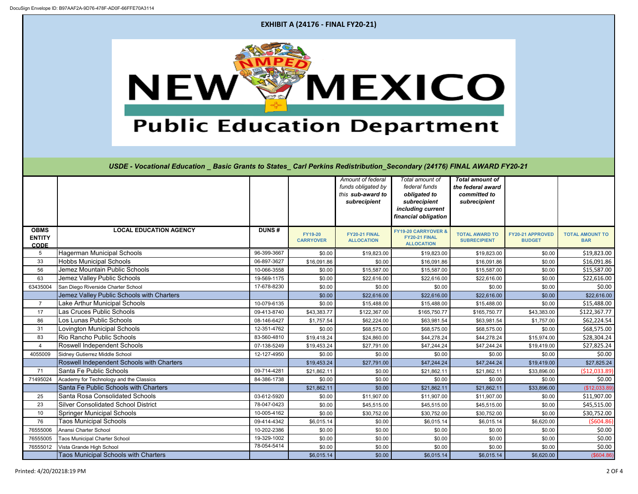

76555012 Vista Grande High School \$0.00 \$0.00 \$0.00 \$0.00 \$0.00 \$0.00 \$0.00 \$0.00 \$0.00 \$0.00

Taos Municipal Schools with Charters \$6,015.14 \$0.00 \$6,015.14 \$6,015.14 \$6,620.00 (\$604.86)